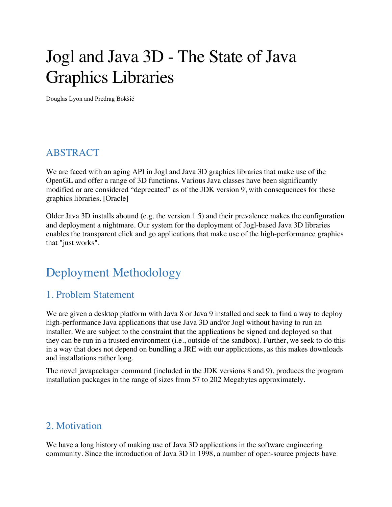# Jogl and Java 3D - The State of Java Graphics Libraries

Douglas Lyon and Predrag Bokšić

## ABSTRACT

We are faced with an aging API in Jogl and Java 3D graphics libraries that make use of the OpenGL and offer a range of 3D functions. Various Java classes have been significantly modified or are considered "deprecated" as of the JDK version 9, with consequences for these graphics libraries. [Oracle]

Older Java 3D installs abound (e.g. the version 1.5) and their prevalence makes the configuration and deployment a nightmare. Our system for the deployment of Jogl-based Java 3D libraries enables the transparent click and go applications that make use of the high-performance graphics that "just works".

## Deployment Methodology

## 1. Problem Statement

We are given a desktop platform with Java 8 or Java 9 installed and seek to find a way to deploy high-performance Java applications that use Java 3D and/or Jogl without having to run an installer. We are subject to the constraint that the applications be signed and deployed so that they can be run in a trusted environment (i.e., outside of the sandbox). Further, we seek to do this in a way that does not depend on bundling a JRE with our applications, as this makes downloads and installations rather long.

The novel javapackager command (included in the JDK versions 8 and 9), produces the program installation packages in the range of sizes from 57 to 202 Megabytes approximately.

#### 2. Motivation

We have a long history of making use of Java 3D applications in the software engineering community. Since the introduction of Java 3D in 1998, a number of open-source projects have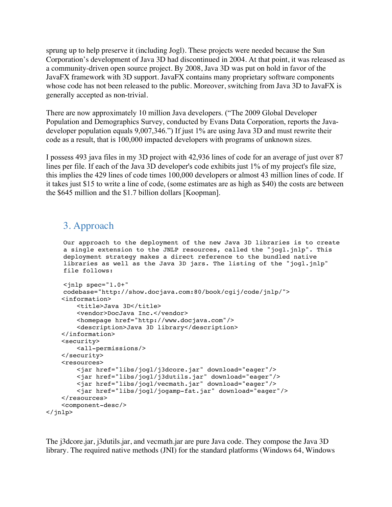sprung up to help preserve it (including Jogl). These projects were needed because the Sun Corporation's development of Java 3D had discontinued in 2004. At that point, it was released as a community-driven open source project. By 2008, Java 3D was put on hold in favor of the JavaFX framework with 3D support. JavaFX contains many proprietary software components whose code has not been released to the public. Moreover, switching from Java 3D to JavaFX is generally accepted as non-trivial.

There are now approximately 10 million Java developers. ("The 2009 Global Developer Population and Demographics Survey, conducted by Evans Data Corporation, reports the Javadeveloper population equals 9,007,346.") If just 1% are using Java 3D and must rewrite their code as a result, that is 100,000 impacted developers with programs of unknown sizes.

I possess 493 java files in my 3D project with 42,936 lines of code for an average of just over 87 lines per file. If each of the Java 3D developer's code exhibits just 1% of my project's file size, this implies the 429 lines of code times 100,000 developers or almost 43 million lines of code. If it takes just \$15 to write a line of code, (some estimates are as high as \$40) the costs are between the \$645 million and the \$1.7 billion dollars [Koopman].

#### 3. Approach

Our approach to the deployment of the new Java 3D libraries is to create a single extension to the JNLP resources, called the "jogl.jnlp". This deployment strategy makes a direct reference to the bundled native libraries as well as the Java 3D jars. The listing of the "jogl.jnlp" file follows:

```
<jnlp spec="1.0+" 
    codebase="http://show.docjava.com:80/book/cgij/code/jnlp/">
     <information>
        <title>Java 3D</title>
         <vendor>DocJava Inc.</vendor>
         <homepage href="http://www.docjava.com"/>
         <description>Java 3D library</description>
     </information>
     <security>
         <all-permissions/>
     </security>
     <resources>
         <jar href="libs/jogl/j3dcore.jar" download="eager"/>
         <jar href="libs/jogl/j3dutils.jar" download="eager"/>
         <jar href="libs/jogl/vecmath.jar" download="eager"/>
         <jar href="libs/jogl/jogamp-fat.jar" download="eager"/>
     </resources>
     <component-desc/>
</jnlp>
```
The j3dcore.jar, j3dutils.jar, and vecmath.jar are pure Java code. They compose the Java 3D library. The required native methods (JNI) for the standard platforms (Windows 64, Windows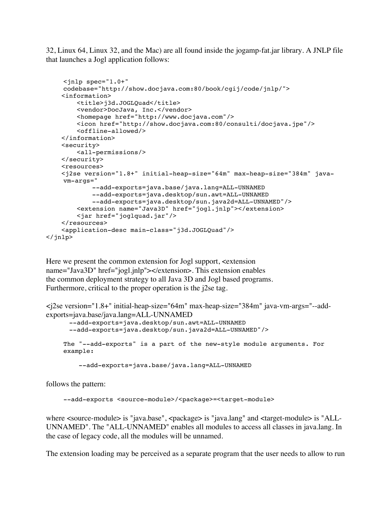32, Linux 64, Linux 32, and the Mac) are all found inside the jogamp-fat.jar library. A JNLP file that launches a Jogl application follows:

```
<jnlp spec="1.0+" 
    codebase="http://show.docjava.com:80/book/cgij/code/jnlp/">
     <information>
         <title>j3d.JOGLQuad</title>
         <vendor>DocJava, Inc.</vendor>
         <homepage href="http://www.docjava.com"/>
         <icon href="http://show.docjava.com:80/consulti/docjava.jpe"/>
         <offline-allowed/>
     </information>
     <security>
         <all-permissions/>
     </security>
     <resources>
     <j2se version="1.8+" initial-heap-size="64m" max-heap-size="384m" java-
    vm-args="
             --add-exports=java.base/java.lang=ALL-UNNAMED 
             --add-exports=java.desktop/sun.awt=ALL-UNNAMED 
             --add-exports=java.desktop/sun.java2d=ALL-UNNAMED"/>
         <extension name="Java3D" href="jogl.jnlp"></extension>
         <jar href="joglquad.jar"/>
     </resources>
     <application-desc main-class="j3d.JOGLQuad"/>
</jnlp>
```
Here we present the common extension for Jogl support,  $\leq$  extension name="Java3D" href="jogl.jnlp"></extension>. This extension enables the common deployment strategy to all Java 3D and Jogl based programs. Furthermore, critical to the proper operation is the j2se tag.

```
<j2se version="1.8+" initial-heap-size="64m" max-heap-size="384m" java-vm-args="--add-
exports=java.base/java.lang=ALL-UNNAMED --add-exports=java.desktop/sun.awt=ALL-UNNAMED
       --add-exports=java.desktop/sun.java2d=ALL-UNNAMED"/>
    The "--add-exports" is a part of the new-style module arguments. For 
    example:
          --add-exports=java.base/java.lang=ALL-UNNAMED
```
follows the pattern:

--add-exports <source-module>/<package>=<target-module>

where  $\leq$ source-module> is "java.base",  $\leq$ package> is "java.lang" and  $\leq$ target-module> is "ALL-UNNAMED". The "ALL-UNNAMED" enables all modules to access all classes in java.lang. In the case of legacy code, all the modules will be unnamed.

The extension loading may be perceived as a separate program that the user needs to allow to run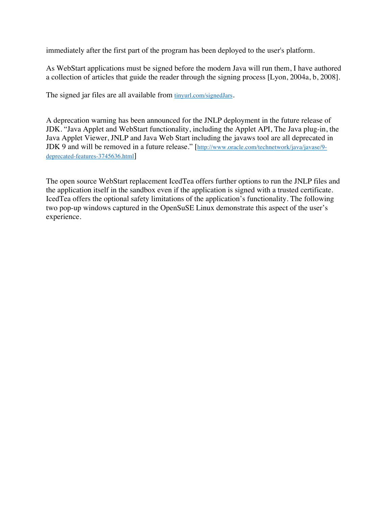immediately after the first part of the program has been deployed to the user's platform.

As WebStart applications must be signed before the modern Java will run them, I have authored a collection of articles that guide the reader through the signing process [Lyon, 2004a, b, 2008].

The signed jar files are all available from tinyurl.com/signedJars.

A deprecation warning has been announced for the JNLP deployment in the future release of JDK. "Java Applet and WebStart functionality, including the Applet API, The Java plug-in, the Java Applet Viewer, JNLP and Java Web Start including the javaws tool are all deprecated in JDK 9 and will be removed in a future release." [http://www.oracle.com/technetwork/java/javase/9 deprecated-features-3745636.html]

The open source WebStart replacement IcedTea offers further options to run the JNLP files and the application itself in the sandbox even if the application is signed with a trusted certificate. IcedTea offers the optional safety limitations of the application's functionality. The following two pop-up windows captured in the OpenSuSE Linux demonstrate this aspect of the user's experience.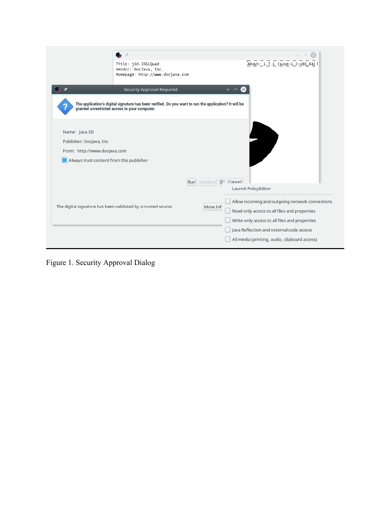|                                          | Title: j3d.JOGLQuad<br>Vendor: DocJava, Inc.<br>Homepage: http://www.docjava.com |                                                                                                       | About: 1.7.1 (suse-1.2-x86_64)                  |
|------------------------------------------|----------------------------------------------------------------------------------|-------------------------------------------------------------------------------------------------------|-------------------------------------------------|
|                                          | Security Approval Required                                                       | $\checkmark$                                                                                          |                                                 |
|                                          | granted unrestricted access to your computer.                                    | The application's digital signature has been verified. Do you want to run the application? It will be |                                                 |
| Name: Java 3D                            |                                                                                  |                                                                                                       |                                                 |
| Publisher: DocJava, Inc                  |                                                                                  |                                                                                                       |                                                 |
| From: http://www.docjava.com             |                                                                                  |                                                                                                       |                                                 |
| Always trust content from this publisher |                                                                                  |                                                                                                       |                                                 |
|                                          |                                                                                  |                                                                                                       |                                                 |
|                                          |                                                                                  | Run Sandbox = Cancel                                                                                  |                                                 |
|                                          |                                                                                  |                                                                                                       | Launch PolicyEditor                             |
|                                          |                                                                                  |                                                                                                       | Allow incoming and outgoing network connections |
|                                          | The digital signature has been validated by a trusted source.                    | More Inf                                                                                              | Read-only access to all files and properties    |
|                                          |                                                                                  |                                                                                                       | Write-only access to all files and properties   |
|                                          |                                                                                  |                                                                                                       | Java Reflection and external code access        |
|                                          |                                                                                  |                                                                                                       | All media (printing, audio, clipboard access)   |

Figure 1. Security Approval Dialog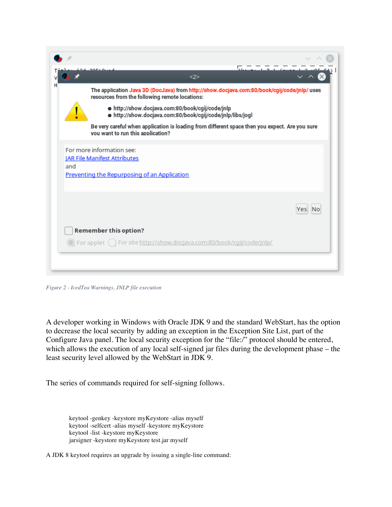|     | 30010                                                            | <2>                                                                                                            | $\sqrt{2}$ |
|-----|------------------------------------------------------------------|----------------------------------------------------------------------------------------------------------------|------------|
|     | resources from the following remote locations:                   | The application Java 3D (DocJava) from http://show.docjava.com:80/book/cgij/code/jnlp/ uses                    |            |
|     |                                                                  | ● http://show.docjava.com:80/book/cgij/code/jnlp<br>. http://show.docjava.com:80/book/cgij/code/jnlp/libs/jogl |            |
|     | you want to run this application?                                | Be very careful when application is loading from different space then you expect. Are you sure                 |            |
|     | For more information see:<br><b>JAR File Manifest Attributes</b> |                                                                                                                |            |
| and | Preventing the Repurposing of an Application                     |                                                                                                                |            |
|     |                                                                  |                                                                                                                |            |
|     |                                                                  |                                                                                                                |            |
|     | <b>Remember this option?</b>                                     |                                                                                                                |            |
|     |                                                                  |                                                                                                                |            |

*Figure 2 - IcedTea Warnings, JNLP file execution*

A developer working in Windows with Oracle JDK 9 and the standard WebStart, has the option to decrease the local security by adding an exception in the Exception Site List, part of the Configure Java panel. The local security exception for the "file:/" protocol should be entered, which allows the execution of any local self-signed jar files during the development phase – the least security level allowed by the WebStart in JDK 9.

The series of commands required for self-signing follows.

keytool -genkey -keystore myKeystore -alias myself keytool -selfcert -alias myself -keystore myKeystore keytool -list -keystore myKeystore jarsigner -keystore myKeystore test.jar myself

A JDK 8 keytool requires an upgrade by issuing a single-line command: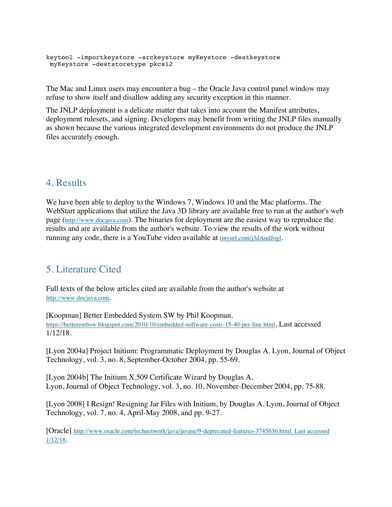```
keytool -importkeystore -srckeystore myKeystore -destkeystore 
 myKeystore -deststoretype pkcs12
```
The Mac and Linux users may encounter a bug – the Oracle Java control panel window may refuse to show itself and disallow adding any security exception in this manner.

The JNLP deployment is a delicate matter that takes into account the Manifest attributes, deployment rulesets, and signing. Developers may benefit from writing the JNLP files manually as shown because the various integrated development environments do not produce the JNLP files accurately enough.

## 4. Results

We have been able to deploy to the Windows 7, Windows 10 and the Mac platforms. The WebStart applications that utilize the Java 3D library are available free to run at the author's web page (http://www.docjava.com). The binaries for deployment are the easiest way to reproduce the results and are available from the author's website. To view the results of the work without running any code, there is a YouTube video available at tinyurl.com/j3dAndJogl.

## 5. Literature Cited

Full texts of the below articles cited are available from the author's website at http://www.docjava.com.

[Koopman] Better Embedded System SW by Phil Koopman. https://betterembsw.blogspot.com/2010/10/embedded-software-costs-15-40-per-line.html. Last accessed 1/12/18.

[Lyon 2004a] Project Initium: Programmatic Deployment by Douglas A. Lyon, Journal of Object Technology, vol. 3, no. 8, September-October 2004, pp. 55-69.

[Lyon 2004b] The Initium X.509 Certificate Wizard by Douglas A. Lyon, Journal of Object Technology, vol. 3, no. 10, November-December 2004, pp. 75-88.

[Lyon 2008] I Resign! Resigning Jar Files with Initium, by Douglas A. Lyon, Journal of Object Technology, vol. 7, no. 4, April-May 2008, and pp. 9-27.

[Oracle] http://www.oracle.com/technetwork/java/javase/9-deprecated-features-3745636.html. Last accessed 1/12/18.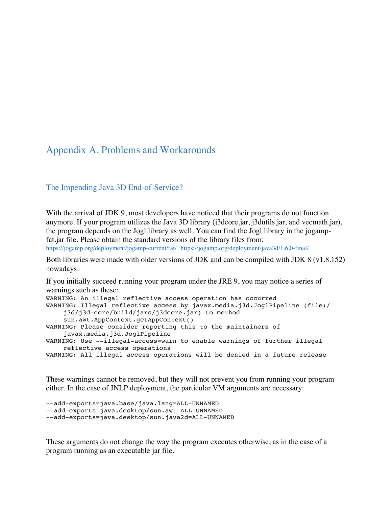#### Appendix A. Problems and Workarounds

#### The Impending Java 3D End-of-Service?

With the arrival of JDK 9, most developers have noticed that their programs do not function anymore. If your program utilizes the Java 3D library (j3dcore.jar, j3dutils.jar, and vecmath.jar), the program depends on the Jogl library as well. You can find the Jogl library in the jogampfat.jar file. Please obtain the standard versions of the library files from: https://jogamp.org/deployment/jogamp-current/fat/ https://jogamp.org/deployment/java3d/1.6.0-final/

Both libraries were made with older versions of JDK and can be compiled with JDK 8 (v1.8.152) nowadays.

If you initially succeed running your program under the JRE 9, you may notice a series of warnings such as these: WARNING: An illegal reflective access operation has occurred WARNING: Illegal reflective access by javax.media.j3d.JoglPipeline (file:/ j3d/j3d-core/build/jars/j3dcore.jar) to method sun.awt.AppContext.getAppContext() WARNING: Please consider reporting this to the maintainers of javax.media.j3d.JoglPipeline WARNING: Use --illegal-access=warn to enable warnings of further illegal reflective access operations WARNING: All illegal access operations will be denied in a future release

These warnings cannot be removed, but they will not prevent you from running your program either. In the case of JNLP deployment, the particular VM arguments are necessary:

```
--add-exports=java.base/java.lang=ALL-UNNAMED 
--add-exports=java.desktop/sun.awt=ALL-UNNAMED 
--add-exports=java.desktop/sun.java2d=ALL-UNNAMED
```
These arguments do not change the way the program executes otherwise, as in the case of a program running as an executable jar file.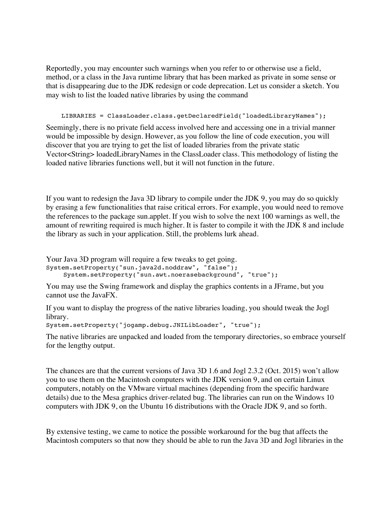Reportedly, you may encounter such warnings when you refer to or otherwise use a field, method, or a class in the Java runtime library that has been marked as private in some sense or that is disappearing due to the JDK redesign or code deprecation. Let us consider a sketch. You may wish to list the loaded native libraries by using the command

LIBRARIES = ClassLoader.class.getDeclaredField("loadedLibraryNames");

Seemingly, there is no private field access involved here and accessing one in a trivial manner would be impossible by design. However, as you follow the line of code execution, you will discover that you are trying to get the list of loaded libraries from the private static Vector<String> loadedLibraryNames in the ClassLoader class. This methodology of listing the loaded native libraries functions well, but it will not function in the future.

If you want to redesign the Java 3D library to compile under the JDK 9, you may do so quickly by erasing a few functionalities that raise critical errors. For example, you would need to remove the references to the package sun.applet. If you wish to solve the next 100 warnings as well, the amount of rewriting required is much higher. It is faster to compile it with the JDK 8 and include the library as such in your application. Still, the problems lurk ahead.

Your Java 3D program will require a few tweaks to get going. System.setProperty("sun.java2d.noddraw", "false"); System.setProperty("sun.awt.noerasebackground", "true");

You may use the Swing framework and display the graphics contents in a JFrame, but you cannot use the JavaFX.

If you want to display the progress of the native libraries loading, you should tweak the Jogl library.

```
System.setProperty("jogamp.debug.JNILibLoader", "true");
```
The native libraries are unpacked and loaded from the temporary directories, so embrace yourself for the lengthy output.

The chances are that the current versions of Java 3D 1.6 and Jogl 2.3.2 (Oct. 2015) won't allow you to use them on the Macintosh computers with the JDK version 9, and on certain Linux computers, notably on the VMware virtual machines (depending from the specific hardware details) due to the Mesa graphics driver-related bug. The libraries can run on the Windows 10 computers with JDK 9, on the Ubuntu 16 distributions with the Oracle JDK 9, and so forth.

By extensive testing, we came to notice the possible workaround for the bug that affects the Macintosh computers so that now they should be able to run the Java 3D and Jogl libraries in the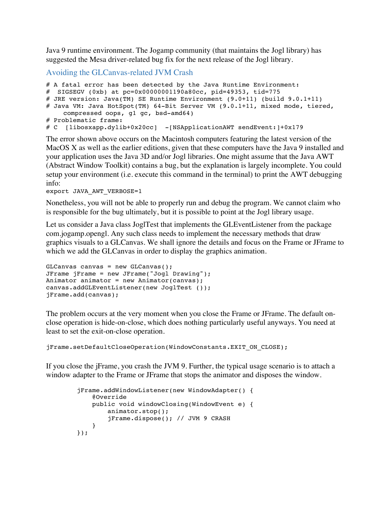Java 9 runtime environment. The Jogamp community (that maintains the Jogl library) has suggested the Mesa driver-related bug fix for the next release of the Jogl library.

Avoiding the GLCanvas-related JVM Crash

```
# A fatal error has been detected by the Java Runtime Environment:
# SIGSEGV (0xb) at pc=0x00000001190a80cc, pid=49353, tid=775
# JRE version: Java(TM) SE Runtime Environment (9.0+11) (build 9.0.1+11)
# Java VM: Java HotSpot(TM) 64-Bit Server VM (9.0.1+11, mixed mode, tiered, 
    compressed oops, g1 gc, bsd-amd64)
# Problematic frame:
# C [libosxapp.dylib+0x20cc] -[NSApplicationAWT sendEvent:]+0x179
```
The error shown above occurs on the Macintosh computers featuring the latest version of the MacOS X as well as the earlier editions, given that these computers have the Java 9 installed and your application uses the Java 3D and/or Jogl libraries. One might assume that the Java AWT (Abstract Window Toolkit) contains a bug, but the explanation is largely incomplete. You could setup your environment (i.e. execute this command in the terminal) to print the AWT debugging info:

export JAVA\_AWT\_VERBOSE=1

Nonetheless, you will not be able to properly run and debug the program. We cannot claim who is responsible for the bug ultimately, but it is possible to point at the Jogl library usage.

Let us consider a Java class JoglTest that implements the GLEventListener from the package com.jogamp.opengl. Any such class needs to implement the necessary methods that draw graphics visuals to a GLCanvas. We shall ignore the details and focus on the Frame or JFrame to which we add the GLCanvas in order to display the graphics animation.

```
GLCanvas canvas = new GLCanvas();
JFrame jFrame = new JFrame("Jogl Drawing");
Animator animator = new Animator(canvas);
canvas.addGLEventListener(new JoglTest ());
jFrame.add(canvas);
```
The problem occurs at the very moment when you close the Frame or JFrame. The default onclose operation is hide-on-close, which does nothing particularly useful anyways. You need at least to set the exit-on-close operation.

jFrame.setDefaultCloseOperation(WindowConstants.EXIT\_ON\_CLOSE);

If you close the jFrame, you crash the JVM 9. Further, the typical usage scenario is to attach a window adapter to the Frame or JFrame that stops the animator and disposes the window.

```
 jFrame.addWindowListener(new WindowAdapter() {
            @Override
            public void windowClosing(WindowEvent e) {
                animator.stop(); 
               jFrame.dispose(); // JVM 9 CRASH
 }
        });
```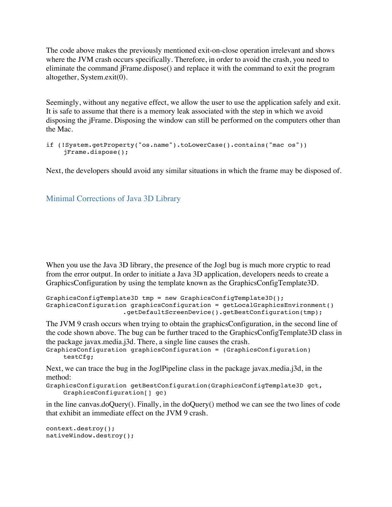The code above makes the previously mentioned exit-on-close operation irrelevant and shows where the JVM crash occurs specifically. Therefore, in order to avoid the crash, you need to eliminate the command jFrame.dispose() and replace it with the command to exit the program altogether, System.exit(0).

Seemingly, without any negative effect, we allow the user to use the application safely and exit. It is safe to assume that there is a memory leak associated with the step in which we avoid disposing the jFrame. Disposing the window can still be performed on the computers other than the Mac.

```
if (!System.getProperty("os.name").toLowerCase().contains("mac os")) 
    jFrame.dispose();
```
Next, the developers should avoid any similar situations in which the frame may be disposed of.

#### Minimal Corrections of Java 3D Library

When you use the Java 3D library, the presence of the Jogl bug is much more cryptic to read from the error output. In order to initiate a Java 3D application, developers needs to create a GraphicsConfiguration by using the template known as the GraphicsConfigTemplate3D.

```
GraphicsConfigTemplate3D tmp = new GraphicsConfigTemplate3D();
GraphicsConfiguration graphicsConfiguration = getLocalGraphicsEnvironment()
                     .getDefaultScreenDevice().getBestConfiguration(tmp);
```
The JVM 9 crash occurs when trying to obtain the graphicsConfiguration, in the second line of the code shown above. The bug can be further traced to the GraphicsConfigTemplate3D class in the package javax.media.j3d. There, a single line causes the crash.

```
GraphicsConfiguration graphicsConfiguration = (GraphicsConfiguration) 
    testCfg;
```
Next, we can trace the bug in the JoglPipeline class in the package javax.media.j3d, in the method:

```
GraphicsConfiguration getBestConfiguration(GraphicsConfigTemplate3D gct, 
    GraphicsConfiguration[] gc)
```
in the line canvas.doQuery(). Finally, in the doQuery() method we can see the two lines of code that exhibit an immediate effect on the JVM 9 crash.

```
context.destroy();
nativeWindow.destroy();
```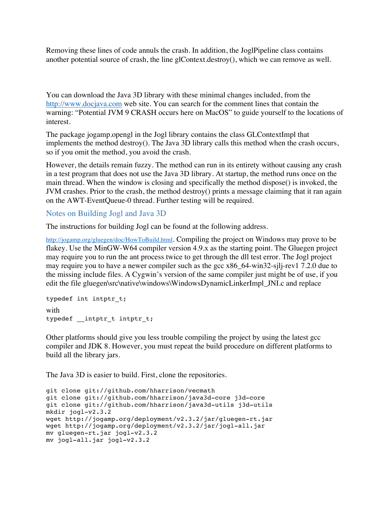Removing these lines of code annuls the crash. In addition, the JoglPipeline class contains another potential source of crash, the line glContext.destroy(), which we can remove as well.

You can download the Java 3D library with these minimal changes included, from the http://www.docjava.com web site. You can search for the comment lines that contain the warning: "Potential JVM 9 CRASH occurs here on MacOS" to guide yourself to the locations of interest.

The package jogamp.opengl in the Jogl library contains the class GLContextImpl that implements the method destroy(). The Java 3D library calls this method when the crash occurs, so if you omit the method, you avoid the crash.

However, the details remain fuzzy. The method can run in its entirety without causing any crash in a test program that does not use the Java 3D library. At startup, the method runs once on the main thread. When the window is closing and specifically the method dispose() is invoked, the JVM crashes. Prior to the crash, the method destroy() prints a message claiming that it ran again on the AWT-EventQueue-0 thread. Further testing will be required.

#### Notes on Building Jogl and Java 3D

The instructions for building Jogl can be found at the following address.

http://jogamp.org/gluegen/doc/HowToBuild.html. Compiling the project on Windows may prove to be flakey. Use the MinGW-W64 compiler version 4.9.x as the starting point. The Gluegen project may require you to run the ant process twice to get through the dll test error. The Jogl project may require you to have a newer compiler such as the gcc x86\_64-win32-sjl-rev1 7.2.0 due to the missing include files. A Cygwin's version of the same compiler just might be of use, if you edit the file gluegen\src\native\windows\WindowsDynamicLinkerImpl\_JNI.c and replace

```
typedef int intptr_t;
with 
typedef __intptr_t intptr_t;
```
Other platforms should give you less trouble compiling the project by using the latest gcc compiler and JDK 8. However, you must repeat the build procedure on different platforms to build all the library jars.

The Java 3D is easier to build. First, clone the repositories.

```
git clone git://github.com/hharrison/vecmath
git clone git://github.com/hharrison/java3d-core j3d-core
git clone git://github.com/hharrison/java3d-utils j3d-utils
mkdir jogl-v2.3.2
wget http://jogamp.org/deployment/v2.3.2/jar/gluegen-rt.jar 
wget http://jogamp.org/deployment/v2.3.2/jar/jogl-all.jar
mv gluegen-rt.jar jogl-v2.3.2
mv jogl-all.jar jogl-v2.3.2
```